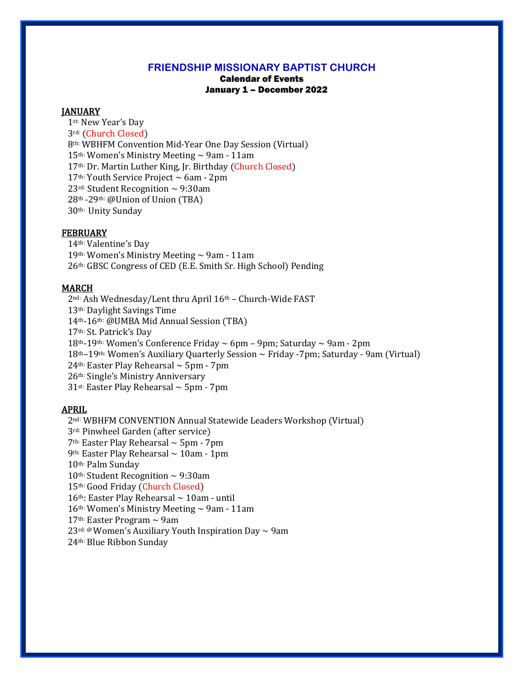## **FRIENDSHIP MISSIONARY BAPTIST CHURCH**

# Calendar of Events January 1 – December 2022

#### **JANUARY**

st: New Year's Day rd: (Church Closed) th: WBHFM Convention Mid-Year One Day Session (Virtual) 15<sup>th:</sup> Women's Ministry Meeting  $\sim$  9am - 11am th: Dr. Martin Luther King, Jr. Birthday (Church Closed) th: Youth Service Project ~ 6am - 2pm 23<sup>rd:</sup> Student Recognition  $\sim$  9:30am th -29th: @Union of Union (TBA) th: Unity Sunday

#### FEBRUARY

th: Valentine's Day 19th: Women's Ministry Meeting  $\sim$  9am - 11am th: GBSC Congress of CED (E.E. Smith Sr. High School) Pending

# **MARCH**

nd: Ash Wednesday/Lent thru April 16th – Church-Wide FAST th: Daylight Savings Time th-16th: @UMBA Mid Annual Session (TBA) th: St. Patrick's Day th-19th: Women's Conference Friday ~ 6pm – 9pm; Saturday ~ 9am - 2pm th–19th: Women's Auxiliary Quarterly Session ~ Friday -7pm; Saturday - 9am (Virtual) <sup>th:</sup> Easter Play Rehearsal  $\sim$  5pm - 7pm th: Single's Ministry Anniversary <sup>st:</sup> Easter Play Rehearsal  $\sim$  5pm - 7pm

## APRIL

nd: WBHFM CONVENTION Annual Statewide Leaders Workshop (Virtual) rd: Pinwheel Garden (after service)  $7<sup>th</sup>$ : Easter Play Rehearsal  $\sim$  5pm - 7pm 9<sup>th:</sup> Easter Play Rehearsal  $\sim$  10am - 1pm th: Palm Sunday 10<sup>th:</sup> Student Recognition  $\sim$  9:30am th: Good Friday (Church Closed)  $16<sup>th</sup>$ : Easter Play Rehearsal  $\sim 10$ am - until 16<sup>th:</sup> Women's Ministry Meeting  $\sim$  9am - 11am <sup>th:</sup> Easter Program  $\sim$  9am <sup>rd: @</sup> Women's Auxiliary Youth Inspiration Day  $\sim$  9am th: Blue Ribbon Sunday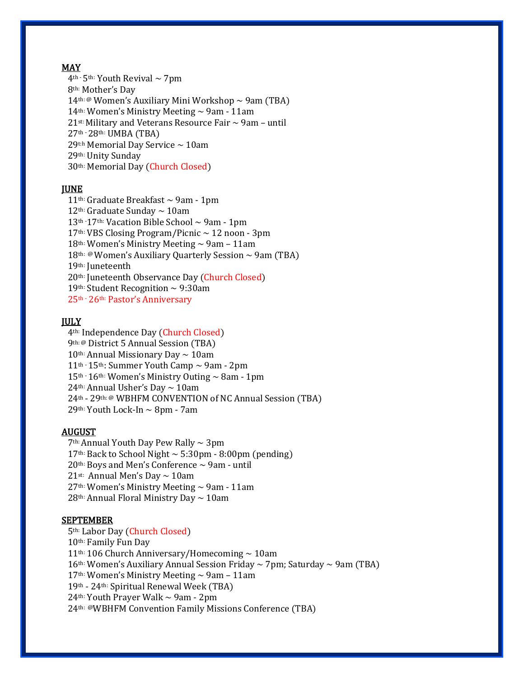## MAY

 $4<sup>th</sup>$  - 5<sup>th:</sup> Youth Revival  $\sim$  7pm 8th: Mother's Day 14<sup>th: @</sup> Women's Auxiliary Mini Workshop  $\sim$  9am (TBA) 14<sup>th:</sup> Women's Ministry Meeting  $\sim$  9am - 11am  $21$ <sup>st:</sup> Military and Veterans Resource Fair  $\sim$  9am – until 27th -28th: UMBA (TBA) 29th Memorial Day Service  $\sim$  10am 29th: Unity Sunday 30th: Memorial Day (Church Closed)

# **JUNE**

 11th: Graduate Breakfast ~ 9am - 1pm 12<sup>th:</sup> Graduate Sunday  $\sim$  10am  $13<sup>th</sup>$  -17<sup>th:</sup> Vacation Bible School  $\sim$  9am - 1pm 17th: VBS Closing Program/Picnic ~ 12 noon - 3pm 18<sup>th:</sup> Women's Ministry Meeting  $\sim$  9am - 11am 18<sup>th: @</sup>Women's Auxiliary Quarterly Session  $\sim$  9am (TBA) 19th: Juneteenth 20th: Juneteenth Observance Day (Church Closed) 19th: Student Recognition  $\sim$  9:30am 25th - 26th: Pastor's Anniversary

# **JULY**

 4th: Independence Day (Church Closed) 9th: @ District 5 Annual Session (TBA)  $10<sup>th</sup>$ : Annual Missionary Day  $\sim 10$ am  $11<sup>th</sup>$  - 15<sup>th</sup>: Summer Youth Camp  $\sim$  9am - 2pm  $15<sup>th</sup>·16<sup>th</sup>$ : Women's Ministry Outing  $\sim$  8am - 1pm 24<sup>th:</sup> Annual Usher's Day  $\sim$  10am 24th - 29th: @ WBHFM CONVENTION of NC Annual Session (TBA) 29th: Youth Lock-In ~ 8pm - 7am

## AUGUST

 $7<sup>th</sup>$ : Annual Youth Day Pew Rally  $\sim$  3pm 17<sup>th:</sup> Back to School Night  $\sim$  5:30pm - 8:00pm (pending)  $20<sup>th</sup>$ : Boys and Men's Conference  $\sim$  9am - until 21st: Annual Men's Day  $\sim$  10am  $27<sup>th</sup>$ : Women's Ministry Meeting  $\sim$  9am - 11am 28<sup>th:</sup> Annual Floral Ministry Day  $\sim$  10am

## SEPTEMBER

th: Labor Day (Church Closed) th: Family Fun Day th: 106 Church Anniversary/Homecoming ~ 10am 16<sup>th:</sup> Women's Auxiliary Annual Session Friday  $\sim$  7pm; Saturday  $\sim$  9am (TBA) 17<sup>th:</sup> Women's Ministry Meeting  $\sim$  9am – 11am th - 24th: Spiritual Renewal Week (TBA) 24<sup>th:</sup> Youth Prayer Walk  $\sim$  9am - 2pm th: @WBHFM Convention Family Missions Conference (TBA)